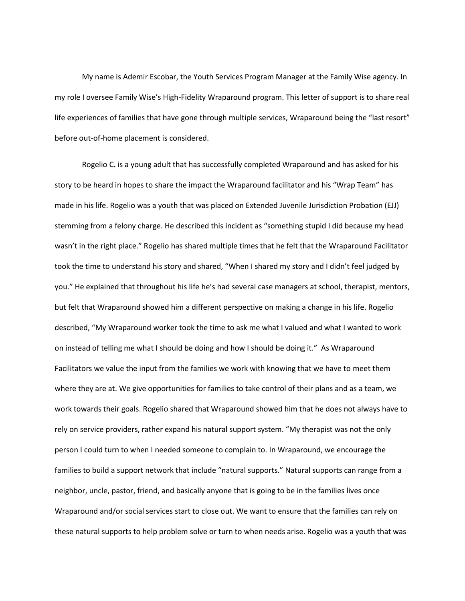My name is Ademir Escobar, the Youth Services Program Manager at the Family Wise agency. In my role I oversee Family Wise's High-Fidelity Wraparound program. This letter of support is to share real life experiences of families that have gone through multiple services, Wraparound being the "last resort" before out-of-home placement is considered.

Rogelio C. is a young adult that has successfully completed Wraparound and has asked for his story to be heard in hopes to share the impact the Wraparound facilitator and his "Wrap Team" has made in his life. Rogelio was a youth that was placed on Extended Juvenile Jurisdiction Probation (EJJ) stemming from a felony charge. He described this incident as "something stupid I did because my head wasn't in the right place." Rogelio has shared multiple times that he felt that the Wraparound Facilitator took the time to understand his story and shared, "When I shared my story and I didn't feel judged by you." He explained that throughout his life he's had several case managers at school, therapist, mentors, but felt that Wraparound showed him a different perspective on making a change in his life. Rogelio described, "My Wraparound worker took the time to ask me what I valued and what I wanted to work on instead of telling me what I should be doing and how I should be doing it." As Wraparound Facilitators we value the input from the families we work with knowing that we have to meet them where they are at. We give opportunities for families to take control of their plans and as a team, we work towards their goals. Rogelio shared that Wraparound showed him that he does not always have to rely on service providers, rather expand his natural support system. "My therapist was not the only person I could turn to when I needed someone to complain to. In Wraparound, we encourage the families to build a support network that include "natural supports." Natural supports can range from a neighbor, uncle, pastor, friend, and basically anyone that is going to be in the families lives once Wraparound and/or social services start to close out. We want to ensure that the families can rely on these natural supports to help problem solve or turn to when needs arise. Rogelio was a youth that was